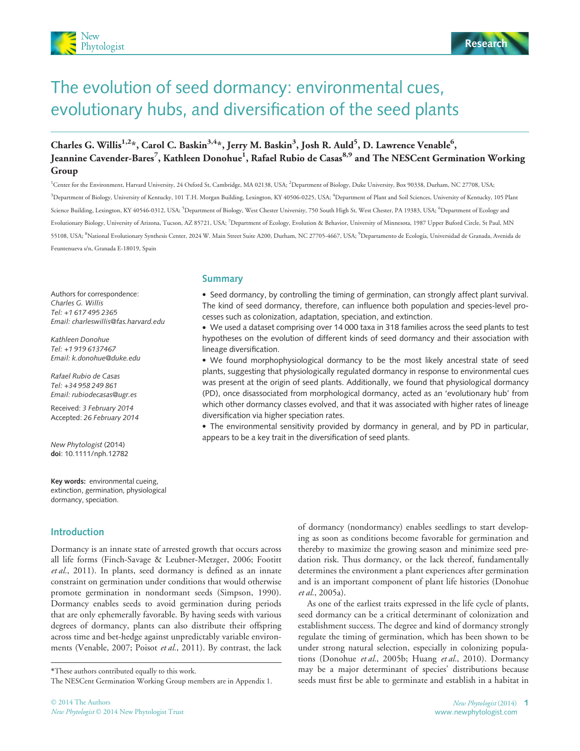

# The evolution of seed dormancy: environmental cues, evolutionary hubs, and diversification of the seed plants

Charles G. Willis<sup>1,2</sup>\*, Carol C. Baskin<sup>3,4</sup>\*, Jerry M. Baskin<sup>3</sup>, Josh R. Auld<sup>5</sup>, D. Lawrence Venable<sup>6</sup>, Jeannine Cavender-Bares<sup>7</sup>, Kathleen Donohue<sup>1</sup>, Rafael Rubio de Casas<sup>8,9</sup> and The NESCent Germination Working Group

<sup>1</sup>Center for the Environment, Harvard University, 24 Oxford St, Cambridge, MA 02138, USA; <sup>2</sup>Department of Biology, Duke University, Box 90338, Durham, NC 27708, USA; <sup>3</sup>Department of Biology, University of Kentucky, 101 T.H. Morgan Building, Lexington, KY 40506-0225, USA; <sup>4</sup>Department of Plant and Soil Sciences, University of Kentucky, 105 Plant Science Building, Lexington, KY 40546-0312, USA; <sup>5</sup>Department of Biology, West Chester University, 750 South High St, West Chester, PA 19383, USA; <sup>6</sup>Department of Ecology and Evolutionary Biology, University of Arizona, Tucson, AZ 85721, USA; <sup>7</sup> Department of Ecology, Evolution & Behavior, University of Minnesota, 1987 Upper Buford Circle, St Paul, MN 55108, USA; <sup>8</sup>National Evolutionary Synthesis Center, 2024 W. Main Street Suite A200, Durham, NC 27705-4667, USA; <sup>9</sup>Departamento de Ecología, Universidad de Granada, Avenida de Feuntenueva s/n, Granada E-18019, Spain

Authors for correspondence: Charles G. Willis Tel: +1 617 495 2365 Email: charleswillis@fas.harvard.edu

Kathleen Donohue Tel: +1 919 6137467 Email: k.donohue@duke.edu

Rafael Rubio de Casas Tel: +34 958 249 861 Email: rubiodecasas@ugr.es

Received: 3 February 2014 Accepted: 26 February 2014

New Phytologist (2014) doi: 10.1111/nph.12782

Key words: environmental cueing, extinction, germination, physiological dormancy, speciation.

## Introduction

Dormancy is an innate state of arrested growth that occurs across all life forms (Finch-Savage & Leubner-Metzger, 2006; Footitt et al., 2011). In plants, seed dormancy is defined as an innate constraint on germination under conditions that would otherwise promote germination in nondormant seeds (Simpson, 1990). Dormancy enables seeds to avoid germination during periods that are only ephemerally favorable. By having seeds with various degrees of dormancy, plants can also distribute their offspring across time and bet-hedge against unpredictably variable environments (Venable, 2007; Poisot et al., 2011). By contrast, the lack

#### Summary

! Seed dormancy, by controlling the timing of germination, can strongly affect plant survival. The kind of seed dormancy, therefore, can influence both population and species-level processes such as colonization, adaptation, speciation, and extinction.

! We used a dataset comprising over 14 000 taxa in 318 families across the seed plants to test hypotheses on the evolution of different kinds of seed dormancy and their association with lineage diversification.

! We found morphophysiological dormancy to be the most likely ancestral state of seed plants, suggesting that physiologically regulated dormancy in response to environmental cues was present at the origin of seed plants. Additionally, we found that physiological dormancy (PD), once disassociated from morphological dormancy, acted as an 'evolutionary hub' from which other dormancy classes evolved, and that it was associated with higher rates of lineage diversification via higher speciation rates.

! The environmental sensitivity provided by dormancy in general, and by PD in particular, appears to be a key trait in the diversification of seed plants.

> of dormancy (nondormancy) enables seedlings to start developing as soon as conditions become favorable for germination and thereby to maximize the growing season and minimize seed predation risk. Thus dormancy, or the lack thereof, fundamentally determines the environment a plant experiences after germination and is an important component of plant life histories (Donohue et al., 2005a).

> As one of the earliest traits expressed in the life cycle of plants, seed dormancy can be a critical determinant of colonization and establishment success. The degree and kind of dormancy strongly regulate the timing of germination, which has been shown to be under strong natural selection, especially in colonizing populations (Donohue et al., 2005b; Huang et al., 2010). Dormancy may be a major determinant of species' distributions because seeds must first be able to germinate and establish in a habitat in

<sup>\*</sup>These authors contributed equally to this work.

The NESCent Germination Working Group members are in Appendix 1.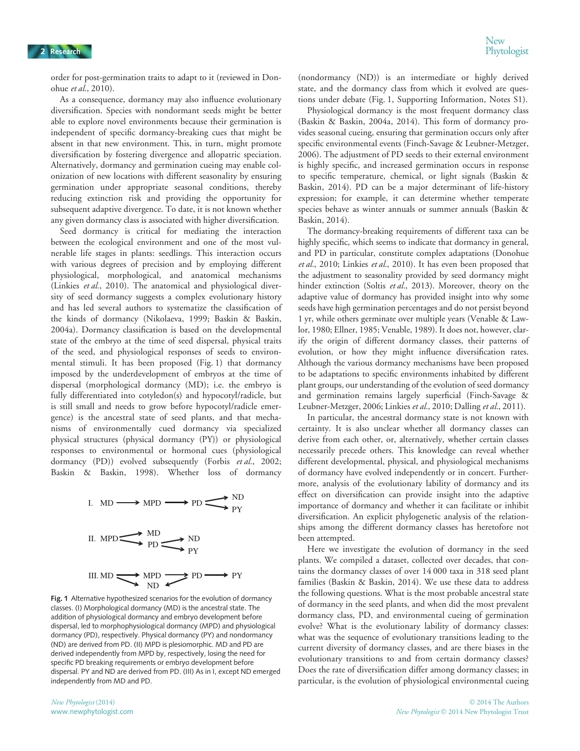order for post-germination traits to adapt to it (reviewed in Donohue et al., 2010).

As a consequence, dormancy may also influence evolutionary diversification. Species with nondormant seeds might be better able to explore novel environments because their germination is independent of specific dormancy-breaking cues that might be absent in that new environment. This, in turn, might promote diversification by fostering divergence and allopatric speciation. Alternatively, dormancy and germination cueing may enable colonization of new locations with different seasonality by ensuring germination under appropriate seasonal conditions, thereby reducing extinction risk and providing the opportunity for subsequent adaptive divergence. To date, it is not known whether any given dormancy class is associated with higher diversification.

Seed dormancy is critical for mediating the interaction between the ecological environment and one of the most vulnerable life stages in plants: seedlings. This interaction occurs with various degrees of precision and by employing different physiological, morphological, and anatomical mechanisms (Linkies et al., 2010). The anatomical and physiological diversity of seed dormancy suggests a complex evolutionary history and has led several authors to systematize the classification of the kinds of dormancy (Nikolaeva, 1999; Baskin & Baskin, 2004a). Dormancy classification is based on the developmental state of the embryo at the time of seed dispersal, physical traits of the seed, and physiological responses of seeds to environmental stimuli. It has been proposed (Fig. 1) that dormancy imposed by the underdevelopment of embryos at the time of dispersal (morphological dormancy (MD); i.e. the embryo is fully differentiated into cotyledon(s) and hypocotyl/radicle, but is still small and needs to grow before hypocotyl/radicle emergence) is the ancestral state of seed plants, and that mechanisms of environmentally cued dormancy via specialized physical structures (physical dormancy (PY)) or physiological responses to environmental or hormonal cues (physiological dormancy (PD)) evolved subsequently (Forbis et al., 2002; Baskin & Baskin, 1998). Whether loss of dormancy



Fig. 1 Alternative hypothesized scenarios for the evolution of dormancy classes. (I) Morphological dormancy (MD) is the ancestral state. The addition of physiological dormancy and embryo development before dispersal, led to morphophysiological dormancy (MPD) and physiological dormancy (PD), respectively. Physical dormancy (PY) and nondormancy (ND) are derived from PD. (II) MPD is plesiomorphic. MD and PD are derived independently from MPD by, respectively, losing the need for specific PD breaking requirements or embryo development before dispersal. PY and ND are derived from PD. (III) As in I, except ND emerged independently from MD and PD.

(nondormancy (ND)) is an intermediate or highly derived state, and the dormancy class from which it evolved are questions under debate (Fig. 1, Supporting Information, Notes S1).

Physiological dormancy is the most frequent dormancy class (Baskin & Baskin, 2004a, 2014). This form of dormancy provides seasonal cueing, ensuring that germination occurs only after specific environmental events (Finch-Savage & Leubner-Metzger, 2006). The adjustment of PD seeds to their external environment is highly specific, and increased germination occurs in response to specific temperature, chemical, or light signals (Baskin & Baskin, 2014). PD can be a major determinant of life-history expression; for example, it can determine whether temperate species behave as winter annuals or summer annuals (Baskin & Baskin, 2014).

The dormancy-breaking requirements of different taxa can be highly specific, which seems to indicate that dormancy in general, and PD in particular, constitute complex adaptations (Donohue et al., 2010; Linkies et al., 2010). It has even been proposed that the adjustment to seasonality provided by seed dormancy might hinder extinction (Soltis et al., 2013). Moreover, theory on the adaptive value of dormancy has provided insight into why some seeds have high germination percentages and do not persist beyond 1 yr, while others germinate over multiple years (Venable & Lawlor, 1980; Ellner, 1985; Venable, 1989). It does not, however, clarify the origin of different dormancy classes, their patterns of evolution, or how they might influence diversification rates. Although the various dormancy mechanisms have been proposed to be adaptations to specific environments inhabited by different plant groups, our understanding of the evolution of seed dormancy and germination remains largely superficial (Finch-Savage & Leubner-Metzger, 2006; Linkies et al., 2010; Dalling et al., 2011).

In particular, the ancestral dormancy state is not known with certainty. It is also unclear whether all dormancy classes can derive from each other, or, alternatively, whether certain classes necessarily precede others. This knowledge can reveal whether different developmental, physical, and physiological mechanisms of dormancy have evolved independently or in concert. Furthermore, analysis of the evolutionary lability of dormancy and its effect on diversification can provide insight into the adaptive importance of dormancy and whether it can facilitate or inhibit diversification. An explicit phylogenetic analysis of the relationships among the different dormancy classes has heretofore not been attempted.

Here we investigate the evolution of dormancy in the seed plants. We compiled a dataset, collected over decades, that contains the dormancy classes of over 14 000 taxa in 318 seed plant families (Baskin & Baskin, 2014). We use these data to address the following questions. What is the most probable ancestral state of dormancy in the seed plants, and when did the most prevalent dormancy class, PD, and environmental cueing of germination evolve? What is the evolutionary lability of dormancy classes: what was the sequence of evolutionary transitions leading to the current diversity of dormancy classes, and are there biases in the evolutionary transitions to and from certain dormancy classes? Does the rate of diversification differ among dormancy classes; in particular, is the evolution of physiological environmental cueing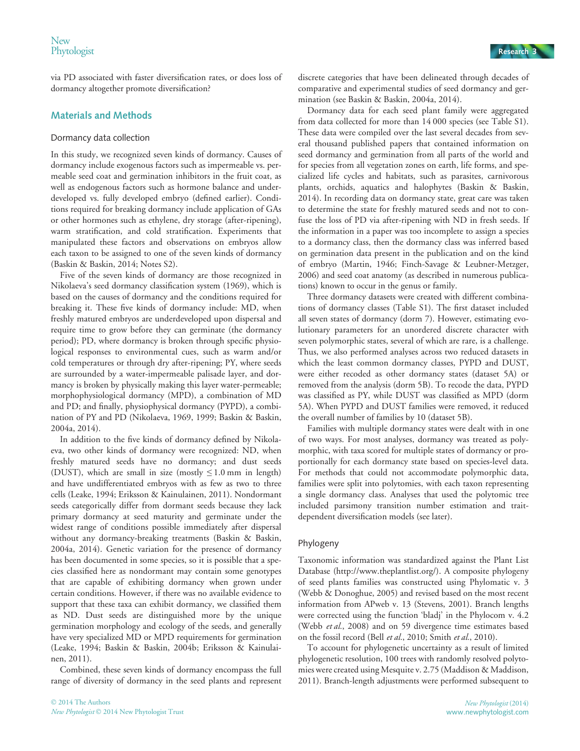via PD associated with faster diversification rates, or does loss of dormancy altogether promote diversification?

## Materials and Methods

#### Dormancy data collection

In this study, we recognized seven kinds of dormancy. Causes of dormancy include exogenous factors such as impermeable vs. permeable seed coat and germination inhibitors in the fruit coat, as well as endogenous factors such as hormone balance and underdeveloped vs. fully developed embryo (defined earlier). Conditions required for breaking dormancy include application of GAs or other hormones such as ethylene, dry storage (after-ripening), warm stratification, and cold stratification. Experiments that manipulated these factors and observations on embryos allow each taxon to be assigned to one of the seven kinds of dormancy (Baskin & Baskin, 2014; Notes S2).

Five of the seven kinds of dormancy are those recognized in Nikolaeva's seed dormancy classification system (1969), which is based on the causes of dormancy and the conditions required for breaking it. These five kinds of dormancy include: MD, when freshly matured embryos are underdeveloped upon dispersal and require time to grow before they can germinate (the dormancy period); PD, where dormancy is broken through specific physiological responses to environmental cues, such as warm and/or cold temperatures or through dry after-ripening; PY, where seeds are surrounded by a water-impermeable palisade layer, and dormancy is broken by physically making this layer water-permeable; morphophysiological dormancy (MPD), a combination of MD and PD; and finally, physiophysical dormancy (PYPD), a combination of PY and PD (Nikolaeva, 1969, 1999; Baskin & Baskin, 2004a, 2014).

In addition to the five kinds of dormancy defined by Nikolaeva, two other kinds of dormancy were recognized: ND, when freshly matured seeds have no dormancy; and dust seeds (DUST), which are small in size (mostly  $\leq 1.0$  mm in length) and have undifferentiated embryos with as few as two to three cells (Leake, 1994; Eriksson & Kainulainen, 2011). Nondormant seeds categorically differ from dormant seeds because they lack primary dormancy at seed maturity and germinate under the widest range of conditions possible immediately after dispersal without any dormancy-breaking treatments (Baskin & Baskin, 2004a, 2014). Genetic variation for the presence of dormancy has been documented in some species, so it is possible that a species classified here as nondormant may contain some genotypes that are capable of exhibiting dormancy when grown under certain conditions. However, if there was no available evidence to support that these taxa can exhibit dormancy, we classified them as ND. Dust seeds are distinguished more by the unique germination morphology and ecology of the seeds, and generally have very specialized MD or MPD requirements for germination (Leake, 1994; Baskin & Baskin, 2004b; Eriksson & Kainulainen, 2011).

Combined, these seven kinds of dormancy encompass the full range of diversity of dormancy in the seed plants and represent mination (see Baskin & Baskin, 2004a, 2014). Dormancy data for each seed plant family were aggregated from data collected for more than 14 000 species (see Table S1). These data were compiled over the last several decades from several thousand published papers that contained information on seed dormancy and germination from all parts of the world and for species from all vegetation zones on earth, life forms, and specialized life cycles and habitats, such as parasites, carnivorous plants, orchids, aquatics and halophytes (Baskin & Baskin, 2014). In recording data on dormancy state, great care was taken to determine the state for freshly matured seeds and not to confuse the loss of PD via after-ripening with ND in fresh seeds. If the information in a paper was too incomplete to assign a species to a dormancy class, then the dormancy class was inferred based on germination data present in the publication and on the kind of embryo (Martin, 1946; Finch-Savage & Leubner-Metzger, 2006) and seed coat anatomy (as described in numerous publications) known to occur in the genus or family.

Three dormancy datasets were created with different combinations of dormancy classes (Table S1). The first dataset included all seven states of dormancy (dorm 7). However, estimating evolutionary parameters for an unordered discrete character with seven polymorphic states, several of which are rare, is a challenge. Thus, we also performed analyses across two reduced datasets in which the least common dormancy classes, PYPD and DUST, were either recoded as other dormancy states (dataset 5A) or removed from the analysis (dorm 5B). To recode the data, PYPD was classified as PY, while DUST was classified as MPD (dorm 5A). When PYPD and DUST families were removed, it reduced the overall number of families by 10 (dataset 5B).

Families with multiple dormancy states were dealt with in one of two ways. For most analyses, dormancy was treated as polymorphic, with taxa scored for multiple states of dormancy or proportionally for each dormancy state based on species-level data. For methods that could not accommodate polymorphic data, families were split into polytomies, with each taxon representing a single dormancy class. Analyses that used the polytomic tree included parsimony transition number estimation and traitdependent diversification models (see later).

#### Phylogeny

Taxonomic information was standardized against the Plant List Database (http://www.theplantlist.org/). A composite phylogeny of seed plants families was constructed using Phylomatic v. 3 (Webb & Donoghue, 2005) and revised based on the most recent information from APweb v. 13 (Stevens, 2001). Branch lengths were corrected using the function 'bladj' in the Phylocom v. 4.2 (Webb et al., 2008) and on 59 divergence time estimates based on the fossil record (Bell et al., 2010; Smith et al., 2010).

To account for phylogenetic uncertainty as a result of limited phylogenetic resolution, 100 trees with randomly resolved polytomies were created using Mesquite v. 2.75 (Maddison & Maddison, 2011). Branch-length adjustments were performed subsequent to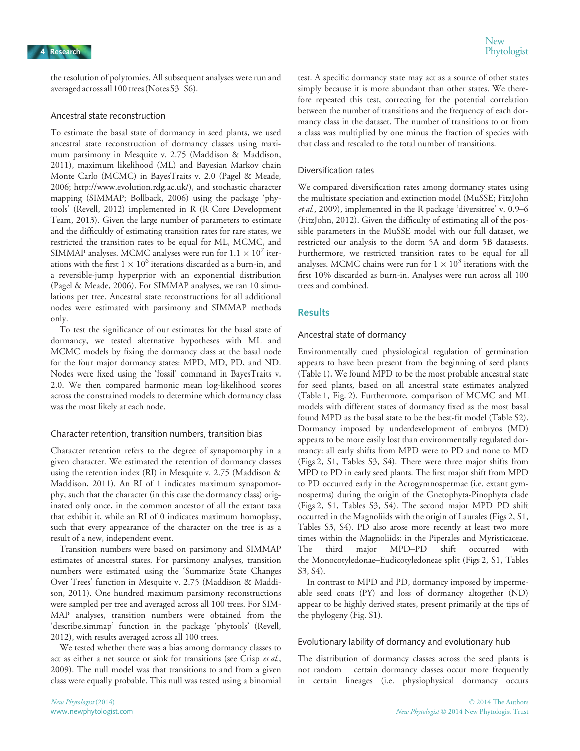the resolution of polytomies. All subsequent analyses were run and averaged across all 100 trees (Notes S3-S6).

#### Ancestral state reconstruction

To estimate the basal state of dormancy in seed plants, we used ancestral state reconstruction of dormancy classes using maximum parsimony in Mesquite v. 2.75 (Maddison & Maddison, 2011), maximum likelihood (ML) and Bayesian Markov chain Monte Carlo (MCMC) in BayesTraits v. 2.0 (Pagel & Meade, 2006; http://www.evolution.rdg.ac.uk/), and stochastic character mapping (SIMMAP; Bollback, 2006) using the package 'phytools' (Revell, 2012) implemented in R (R Core Development Team, 2013). Given the large number of parameters to estimate and the difficultly of estimating transition rates for rare states, we restricted the transition rates to be equal for ML, MCMC, and SIMMAP analyses. MCMC analyses were run for  $1.1 \times 10^7$  iterations with the first  $1 \times 10^6$  iterations discarded as a burn-in, and a reversible-jump hyperprior with an exponential distribution (Pagel & Meade, 2006). For SIMMAP analyses, we ran 10 simulations per tree. Ancestral state reconstructions for all additional nodes were estimated with parsimony and SIMMAP methods only.

To test the significance of our estimates for the basal state of dormancy, we tested alternative hypotheses with ML and MCMC models by fixing the dormancy class at the basal node for the four major dormancy states: MPD, MD, PD, and ND. Nodes were fixed using the 'fossil' command in BayesTraits v. 2.0. We then compared harmonic mean log-likelihood scores across the constrained models to determine which dormancy class was the most likely at each node.

#### Character retention, transition numbers, transition bias

Character retention refers to the degree of synapomorphy in a given character. We estimated the retention of dormancy classes using the retention index (RI) in Mesquite v. 2.75 (Maddison & Maddison, 2011). An RI of 1 indicates maximum synapomorphy, such that the character (in this case the dormancy class) originated only once, in the common ancestor of all the extant taxa that exhibit it, while an RI of 0 indicates maximum homoplasy, such that every appearance of the character on the tree is as a result of a new, independent event.

Transition numbers were based on parsimony and SIMMAP estimates of ancestral states. For parsimony analyses, transition numbers were estimated using the 'Summarize State Changes Over Trees' function in Mesquite v. 2.75 (Maddison & Maddison, 2011). One hundred maximum parsimony reconstructions were sampled per tree and averaged across all 100 trees. For SIM-MAP analyses, transition numbers were obtained from the 'describe.simmap' function in the package 'phytools' (Revell, 2012), with results averaged across all 100 trees.

We tested whether there was a bias among dormancy classes to act as either a net source or sink for transitions (see Crisp et al., 2009). The null model was that transitions to and from a given class were equally probable. This null was tested using a binomial test. A specific dormancy state may act as a source of other states simply because it is more abundant than other states. We therefore repeated this test, correcting for the potential correlation between the number of transitions and the frequency of each dormancy class in the dataset. The number of transitions to or from a class was multiplied by one minus the fraction of species with that class and rescaled to the total number of transitions.

#### Diversification rates

We compared diversification rates among dormancy states using the multistate speciation and extinction model (MuSSE; FitzJohn et al., 2009), implemented in the R package 'diversitree' v. 0.9–6 (FitzJohn, 2012). Given the difficulty of estimating all of the possible parameters in the MuSSE model with our full dataset, we restricted our analysis to the dorm 5A and dorm 5B datasests. Furthermore, we restricted transition rates to be equal for all analyses. MCMC chains were run for  $1 \times 10^3$  iterations with the first 10% discarded as burn-in. Analyses were run across all 100 trees and combined.

#### Results

#### Ancestral state of dormancy

Environmentally cued physiological regulation of germination appears to have been present from the beginning of seed plants (Table 1). We found MPD to be the most probable ancestral state for seed plants, based on all ancestral state estimates analyzed (Table 1, Fig. 2). Furthermore, comparison of MCMC and ML models with different states of dormancy fixed as the most basal found MPD as the basal state to be the best-fit model (Table S2). Dormancy imposed by underdevelopment of embryos (MD) appears to be more easily lost than environmentally regulated dormancy: all early shifts from MPD were to PD and none to MD (Figs 2, S1, Tables S3, S4). There were three major shifts from MPD to PD in early seed plants. The first major shift from MPD to PD occurred early in the Acrogymnospermae (i.e. extant gymnosperms) during the origin of the Gnetophyta-Pinophyta clade (Figs 2, S1, Tables S3, S4). The second major MPD–PD shift occurred in the Magnoliids with the origin of Laurales (Figs 2, S1, Tables S3, S4). PD also arose more recently at least two more times within the Magnoliids: in the Piperales and Myristicaceae. The third major MPD–PD shift occurred with the Monocotyledonae–Eudicotyledoneae split (Figs 2, S1, Tables S3, S4).

In contrast to MPD and PD, dormancy imposed by impermeable seed coats (PY) and loss of dormancy altogether (ND) appear to be highly derived states, present primarily at the tips of the phylogeny (Fig. S1).

#### Evolutionary lability of dormancy and evolutionary hub

The distribution of dormancy classes across the seed plants is not random – certain dormancy classes occur more frequently in certain lineages (i.e. physiophysical dormancy occurs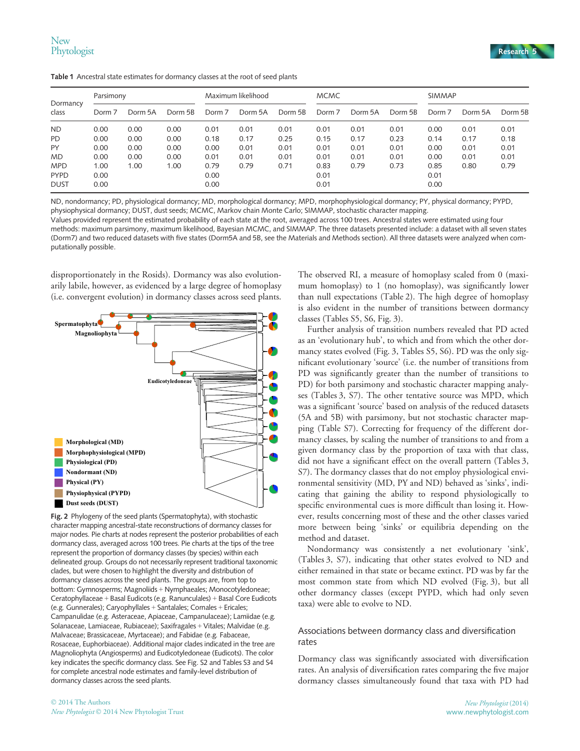| Dormancy<br>class | Parsimony |         |         | Maximum likelihood |         | <b>MCMC</b> |        |         | <b>SIMMAP</b> |        |         |         |
|-------------------|-----------|---------|---------|--------------------|---------|-------------|--------|---------|---------------|--------|---------|---------|
|                   | Dorm 7    | Dorm 5A | Dorm 5B | Dorm 7             | Dorm 5A | Dorm 5B     | Dorm 7 | Dorm 5A | Dorm 5B       | Dorm 7 | Dorm 5A | Dorm 5B |
| <b>ND</b>         | 0.00      | 0.00    | 0.00    | 0.01               | 0.01    | 0.01        | 0.01   | 0.01    | 0.01          | 0.00   | 0.01    | 0.01    |
| PD.               | 0.00      | 0.00    | 0.00    | 0.18               | 0.17    | 0.25        | 0.15   | 0.17    | 0.23          | 0.14   | 0.17    | 0.18    |
| PY                | 0.00      | 0.00    | 0.00    | 0.00               | 0.01    | 0.01        | 0.01   | 0.01    | 0.01          | 0.00   | 0.01    | 0.01    |
| <b>MD</b>         | 0.00      | 0.00    | 0.00    | 0.01               | 0.01    | 0.01        | 0.01   | 0.01    | 0.01          | 0.00   | 0.01    | 0.01    |
| <b>MPD</b>        | 1.00      | 1.00    | 1.00    | 0.79               | 0.79    | 0.71        | 0.83   | 0.79    | 0.73          | 0.85   | 0.80    | 0.79    |
| <b>PYPD</b>       | 0.00      |         |         | 0.00               |         |             | 0.01   |         |               | 0.01   |         |         |
| <b>DUST</b>       | 0.00      |         |         | 0.00               |         |             | 0.01   |         |               | 0.00   |         |         |

Table 1 Ancestral state estimates for dormancy classes at the root of seed plants

ND, nondormancy; PD, physiological dormancy; MD, morphological dormancy; MPD, morphophysiological dormancy; PY, physical dormancy; PYPD, physiophysical dormancy; DUST, dust seeds; MCMC, Markov chain Monte Carlo; SIMMAP, stochastic character mapping.

Values provided represent the estimated probability of each state at the root, averaged across 100 trees. Ancestral states were estimated using four methods: maximum parsimony, maximum likelihood, Bayesian MCMC, and SIMMAP. The three datasets presented include: a dataset with all seven states (Dorm7) and two reduced datasets with five states (Dorm5A and 5B, see the Materials and Methods section). All three datasets were analyzed when computationally possible.

disproportionately in the Rosids). Dormancy was also evolutionarily labile, however, as evidenced by a large degree of homoplasy (i.e. convergent evolution) in dormancy classes across seed plants.



Fig. 2 Phylogeny of the seed plants (Spermatophyta), with stochastic character mapping ancestral-state reconstructions of dormancy classes for major nodes. Pie charts at nodes represent the posterior probabilities of each dormancy class, averaged across 100 trees. Pie charts at the tips of the tree represent the proportion of dormancy classes (by species) within each delineated group. Groups do not necessarily represent traditional taxonomic clades, but were chosen to highlight the diversity and distribution of dormancy classes across the seed plants. The groups are, from top to bottom: Gymnosperms; Magnoliids + Nymphaeales; Monocotyledoneae; Ceratophyllaceae + Basal Eudicots (e.g. Ranunculales) + Basal Core Eudicots (e.g. Gunnerales); Caryophyllales + Santalales; Cornales + Ericales; Campanulidae (e.g. Asteraceae, Apiaceae, Campanulaceae); Lamiidae (e.g. Solanaceae, Lamiaceae, Rubiaceae); Saxifragales + Vitales; Malvidae (e.g. Malvaceae; Brassicaceae, Myrtaceae); and Fabidae (e.g. Fabaceae, Rosaceae, Euphorbiaceae). Additional major clades indicated in the tree are Magnoliophyta (Angiosperms) and Eudicotyledoneae (Eudicots). The color key indicates the specific dormancy class. See Fig. S2 and Tables S3 and S4 for complete ancestral node estimates and family-level distribution of dormancy classes across the seed plants.

The observed RI, a measure of homoplasy scaled from 0 (maximum homoplasy) to 1 (no homoplasy), was significantly lower than null expectations (Table 2). The high degree of homoplasy is also evident in the number of transitions between dormancy classes (Tables S5, S6, Fig. 3).

Further analysis of transition numbers revealed that PD acted as an 'evolutionary hub', to which and from which the other dormancy states evolved (Fig. 3, Tables S5, S6). PD was the only significant evolutionary 'source' (i.e. the number of transitions from PD was significantly greater than the number of transitions to PD) for both parsimony and stochastic character mapping analyses (Tables 3, S7). The other tentative source was MPD, which was a significant 'source' based on analysis of the reduced datasets (5A and 5B) with parsimony, but not stochastic character mapping (Table S7). Correcting for frequency of the different dormancy classes, by scaling the number of transitions to and from a given dormancy class by the proportion of taxa with that class, did not have a significant effect on the overall pattern (Tables 3, S7). The dormancy classes that do not employ physiological environmental sensitivity (MD, PY and ND) behaved as 'sinks', indicating that gaining the ability to respond physiologically to specific environmental cues is more difficult than losing it. However, results concerning most of these and the other classes varied more between being 'sinks' or equilibria depending on the method and dataset.

Nondormancy was consistently a net evolutionary 'sink', (Tables 3, S7), indicating that other states evolved to ND and either remained in that state or became extinct. PD was by far the most common state from which ND evolved (Fig. 3), but all other dormancy classes (except PYPD, which had only seven taxa) were able to evolve to ND.

## Associations between dormancy class and diversification rates

Dormancy class was significantly associated with diversification rates. An analysis of diversification rates comparing the five major dormancy classes simultaneously found that taxa with PD had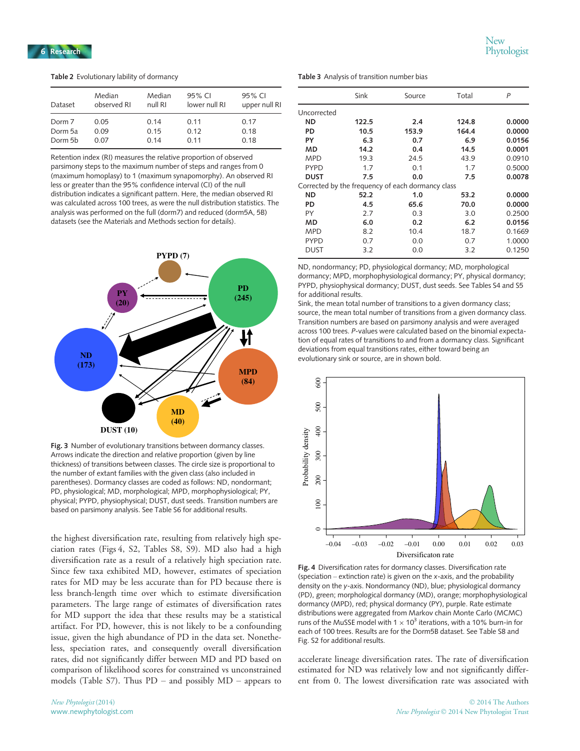#### Table 2 Evolutionary lability of dormancy

| Dataset | Median      | Median  | 95% CI        | 95% CI        |
|---------|-------------|---------|---------------|---------------|
|         | observed RI | null RI | lower null RI | upper null RI |
| Dorm 7  | 0.05        | 0.14    | 0.11          | 0.17          |
| Dorm 5a | 0.09        | 0.15    | 0.12          | 0.18          |
| Dorm 5b | 0.07        | 0.14    | 0.11          | 0.18          |

Retention index (RI) measures the relative proportion of observed parsimony steps to the maximum number of steps and ranges from 0 (maximum homoplasy) to 1 (maximum synapomorphy). An observed RI less or greater than the 95% confidence interval (CI) of the null distribution indicates a significant pattern. Here, the median observed RI was calculated across 100 trees, as were the null distribution statistics. The analysis was performed on the full (dorm7) and reduced (dorm5A, 5B) datasets (see the Materials and Methods section for details).



Fig. 3 Number of evolutionary transitions between dormancy classes. Arrows indicate the direction and relative proportion (given by line thickness) of transitions between classes. The circle size is proportional to the number of extant families with the given class (also included in parentheses). Dormancy classes are coded as follows: ND, nondormant; PD, physiological; MD, morphological; MPD, morphophysiological; PY, physical; PYPD, physiophysical; DUST, dust seeds. Transition numbers are based on parsimony analysis. See Table S6 for additional results.

the highest diversification rate, resulting from relatively high speciation rates (Figs 4, S2, Tables S8, S9). MD also had a high diversification rate as a result of a relatively high speciation rate. Since few taxa exhibited MD, however, estimates of speciation rates for MD may be less accurate than for PD because there is less branch-length time over which to estimate diversification parameters. The large range of estimates of diversification rates for MD support the idea that these results may be a statistical artifact. For PD, however, this is not likely to be a confounding issue, given the high abundance of PD in the data set. Nonetheless, speciation rates, and consequently overall diversification rates, did not significantly differ between MD and PD based on comparison of likelihood scores for constrained vs unconstrained models (Table S7). Thus  $PD$  – and possibly  $MD$  – appears to

Table 3 Analysis of transition number bias

|             | Sink  | Source                                            | Total | $\overline{P}$ |
|-------------|-------|---------------------------------------------------|-------|----------------|
| Uncorrected |       |                                                   |       |                |
| ND          | 122.5 | 2.4                                               | 124.8 | 0.0000         |
| PD          | 10.5  | 153.9                                             | 164.4 | 0.0000         |
| PY          | 6.3   | 0.7                                               | 6.9   | 0.0156         |
| MD          | 14.2  | 0.4                                               | 14.5  | 0.0001         |
| <b>MPD</b>  | 19.3  | 24.5                                              | 43.9  | 0.0910         |
| <b>PYPD</b> | 1.7   | 0.1                                               | 1.7   | 0.5000         |
| DUST        | 7.5   | 0.0                                               | 7.5   | 0.0078         |
|             |       | Corrected by the frequency of each dormancy class |       |                |
| ND          | 52.2  | 1.0                                               | 53.2  | 0.0000         |
| PD          | 4.5   | 65.6                                              | 70.0  | 0.0000         |
| PY          | 2.7   | 0.3                                               | 3.0   | 0.2500         |
| MD          | 6.0   | 0.2                                               | 6.2   | 0.0156         |
| <b>MPD</b>  | 8.2   | 10.4                                              | 18.7  | 0.1669         |
| <b>PYPD</b> | 0.7   | 0.0                                               | 0.7   | 1.0000         |
| <b>DUST</b> | 3.2   | 0.0                                               | 3.2   | 0.1250         |

ND, nondormancy; PD, physiological dormancy; MD, morphological dormancy; MPD, morphophysiological dormancy; PY, physical dormancy; PYPD, physiophysical dormancy; DUST, dust seeds. See Tables S4 and S5 for additional results.

Sink, the mean total number of transitions to a given dormancy class; source, the mean total number of transitions from a given dormancy class. Transition numbers are based on parsimony analysis and were averaged across 100 trees. P-values were calculated based on the binomial expectation of equal rates of transitions to and from a dormancy class. Significant deviations from equal transitions rates, either toward being an evolutionary sink or source, are in shown bold.



Fig. 4 Diversification rates for dormancy classes. Diversification rate (speciation – extinction rate) is given on the x-axis, and the probability density on the y-axis. Nondormancy (ND), blue; physiological dormancy (PD), green; morphological dormancy (MD), orange; morphophysiological dormancy (MPD), red; physical dormancy (PY), purple. Rate estimate distributions were aggregated from Markov chain Monte Carlo (MCMC) runs of the MuSSE model with 1  $\times$  10<sup>3</sup> iterations, with a 10% burn-in for each of 100 trees. Results are for the Dorm5B dataset. See Table S8 and Fig. S2 for additional results.

accelerate lineage diversification rates. The rate of diversification estimated for ND was relatively low and not significantly different from 0. The lowest diversification rate was associated with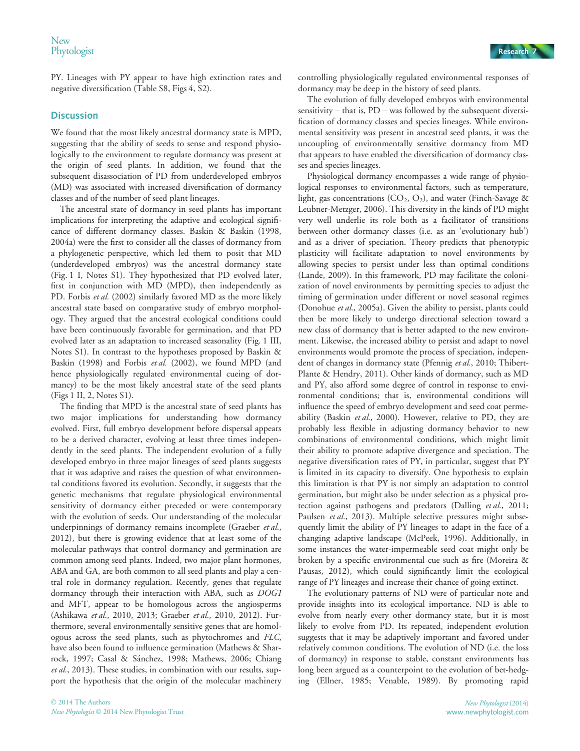PY. Lineages with PY appear to have high extinction rates and negative diversification (Table S8, Figs 4, S2).

## **Discussion**

We found that the most likely ancestral dormancy state is MPD, suggesting that the ability of seeds to sense and respond physiologically to the environment to regulate dormancy was present at the origin of seed plants. In addition, we found that the subsequent disassociation of PD from underdeveloped embryos (MD) was associated with increased diversification of dormancy classes and of the number of seed plant lineages.

The ancestral state of dormancy in seed plants has important implications for interpreting the adaptive and ecological significance of different dormancy classes. Baskin & Baskin (1998, 2004a) were the first to consider all the classes of dormancy from a phylogenetic perspective, which led them to posit that MD (underdeveloped embryos) was the ancestral dormancy state (Fig. 1 I, Notes S1). They hypothesized that PD evolved later, first in conjunction with MD (MPD), then independently as PD. Forbis et al. (2002) similarly favored MD as the more likely ancestral state based on comparative study of embryo morphology. They argued that the ancestral ecological conditions could have been continuously favorable for germination, and that PD evolved later as an adaptation to increased seasonality (Fig. 1 III, Notes S1). In contrast to the hypotheses proposed by Baskin & Baskin (1998) and Forbis et al. (2002), we found MPD (and hence physiologically regulated environmental cueing of dormancy) to be the most likely ancestral state of the seed plants (Figs 1 II, 2, Notes S1).

The finding that MPD is the ancestral state of seed plants has two major implications for understanding how dormancy evolved. First, full embryo development before dispersal appears to be a derived character, evolving at least three times independently in the seed plants. The independent evolution of a fully developed embryo in three major lineages of seed plants suggests that it was adaptive and raises the question of what environmental conditions favored its evolution. Secondly, it suggests that the genetic mechanisms that regulate physiological environmental sensitivity of dormancy either preceded or were contemporary with the evolution of seeds. Our understanding of the molecular underpinnings of dormancy remains incomplete (Graeber et al., 2012), but there is growing evidence that at least some of the molecular pathways that control dormancy and germination are common among seed plants. Indeed, two major plant hormones, ABA and GA, are both common to all seed plants and play a central role in dormancy regulation. Recently, genes that regulate dormancy through their interaction with ABA, such as DOG1 and MFT, appear to be homologous across the angiosperms (Ashikawa et al., 2010, 2013; Graeber et al., 2010, 2012). Furthermore, several environmentally sensitive genes that are homologous across the seed plants, such as phytochromes and FLC, have also been found to influence germination (Mathews & Sharrock, 1997; Casal & Sánchez, 1998; Mathews, 2006; Chiang et al., 2013). These studies, in combination with our results, support the hypothesis that the origin of the molecular machinery

controlling physiologically regulated environmental responses of dormancy may be deep in the history of seed plants.

The evolution of fully developed embryos with environmental sensitivity – that is, PD – was followed by the subsequent diversification of dormancy classes and species lineages. While environmental sensitivity was present in ancestral seed plants, it was the uncoupling of environmentally sensitive dormancy from MD that appears to have enabled the diversification of dormancy classes and species lineages.

Physiological dormancy encompasses a wide range of physiological responses to environmental factors, such as temperature, light, gas concentrations (CO<sub>2</sub>, O<sub>2</sub>), and water (Finch-Savage & Leubner-Metzger, 2006). This diversity in the kinds of PD might very well underlie its role both as a facilitator of transitions between other dormancy classes (i.e. as an 'evolutionary hub') and as a driver of speciation. Theory predicts that phenotypic plasticity will facilitate adaptation to novel environments by allowing species to persist under less than optimal conditions (Lande, 2009). In this framework, PD may facilitate the colonization of novel environments by permitting species to adjust the timing of germination under different or novel seasonal regimes (Donohue et al., 2005a). Given the ability to persist, plants could then be more likely to undergo directional selection toward a new class of dormancy that is better adapted to the new environment. Likewise, the increased ability to persist and adapt to novel environments would promote the process of speciation, independent of changes in dormancy state (Pfennig et al., 2010; Thibert-Plante & Hendry, 2011). Other kinds of dormancy, such as MD and PY, also afford some degree of control in response to environmental conditions; that is, environmental conditions will influence the speed of embryo development and seed coat permeability (Baskin et al., 2000). However, relative to PD, they are probably less flexible in adjusting dormancy behavior to new combinations of environmental conditions, which might limit their ability to promote adaptive divergence and speciation. The negative diversification rates of PY, in particular, suggest that PY is limited in its capacity to diversify. One hypothesis to explain this limitation is that PY is not simply an adaptation to control germination, but might also be under selection as a physical protection against pathogens and predators (Dalling et al., 2011; Paulsen et al., 2013). Multiple selective pressures might subsequently limit the ability of PY lineages to adapt in the face of a changing adaptive landscape (McPeek, 1996). Additionally, in some instances the water-impermeable seed coat might only be broken by a specific environmental cue such as fire (Moreira & Pausas, 2012), which could significantly limit the ecological range of PY lineages and increase their chance of going extinct.

The evolutionary patterns of ND were of particular note and provide insights into its ecological importance. ND is able to evolve from nearly every other dormancy state, but it is most likely to evolve from PD. Its repeated, independent evolution suggests that it may be adaptively important and favored under relatively common conditions. The evolution of ND (i.e. the loss of dormancy) in response to stable, constant environments has long been argued as a counterpoint to the evolution of bet-hedging (Ellner, 1985; Venable, 1989). By promoting rapid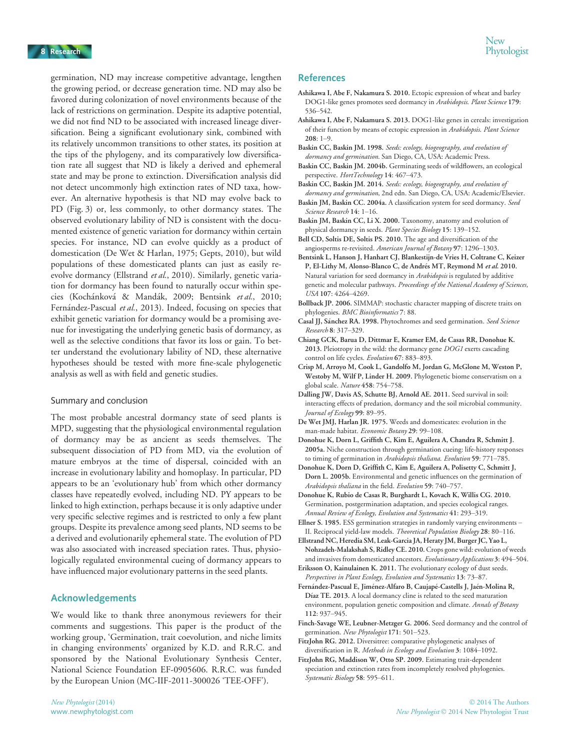germination, ND may increase competitive advantage, lengthen the growing period, or decrease generation time. ND may also be favored during colonization of novel environments because of the lack of restrictions on germination. Despite its adaptive potential, we did not find ND to be associated with increased lineage diversification. Being a significant evolutionary sink, combined with its relatively uncommon transitions to other states, its position at the tips of the phylogeny, and its comparatively low diversification rate all suggest that ND is likely a derived and ephemeral state and may be prone to extinction. Diversification analysis did not detect uncommonly high extinction rates of ND taxa, however. An alternative hypothesis is that ND may evolve back to PD (Fig. 3) or, less commonly, to other dormancy states. The observed evolutionary lability of ND is consistent with the documented existence of genetic variation for dormancy within certain species. For instance, ND can evolve quickly as a product of domestication (De Wet & Harlan, 1975; Gepts, 2010), but wild populations of these domesticated plants can just as easily reevolve dormancy (Ellstrand et al., 2010). Similarly, genetic variation for dormancy has been found to naturally occur within species (Kochánková & Mandák, 2009; Bentsink et al., 2010; Fernández-Pascual et al., 2013). Indeed, focusing on species that exhibit genetic variation for dormancy would be a promising avenue for investigating the underlying genetic basis of dormancy, as well as the selective conditions that favor its loss or gain. To better understand the evolutionary lability of ND, these alternative hypotheses should be tested with more fine-scale phylogenetic analysis as well as with field and genetic studies.

### Summary and conclusion

The most probable ancestral dormancy state of seed plants is MPD, suggesting that the physiological environmental regulation of dormancy may be as ancient as seeds themselves. The subsequent dissociation of PD from MD, via the evolution of mature embryos at the time of dispersal, coincided with an increase in evolutionary lability and homoplasy. In particular, PD appears to be an 'evolutionary hub' from which other dormancy classes have repeatedly evolved, including ND. PY appears to be linked to high extinction, perhaps because it is only adaptive under very specific selective regimes and is restricted to only a few plant groups. Despite its prevalence among seed plants, ND seems to be a derived and evolutionarily ephemeral state. The evolution of PD was also associated with increased speciation rates. Thus, physiologically regulated environmental cueing of dormancy appears to have influenced major evolutionary patterns in the seed plants.

#### Acknowledgements

We would like to thank three anonymous reviewers for their comments and suggestions. This paper is the product of the working group, 'Germination, trait coevolution, and niche limits in changing environments' organized by K.D. and R.R.C. and sponsored by the National Evolutionary Synthesis Center, National Science Foundation EF-0905606. R.R.C. was funded by the European Union (MC-IIF-2011-300026 'TEE-OFF').

#### References

- Ashikawa I, Abe F, Nakamura S. 2010. Ectopic expression of wheat and barley DOG1-like genes promotes seed dormancy in Arabidopsis. Plant Science 179: 536–542.
- Ashikawa I, Abe F, Nakamura S. 2013. DOG1-like genes in cereals: investigation of their function by means of ectopic expression in Arabidopsis. Plant Science 208: 1–9.
- Baskin CC, Baskin JM. 1998. Seeds: ecology, biogeography, and evolution of dormancy and germination. San Diego, CA, USA: Academic Press.
- Baskin CC, Baskin JM. 2004b. Germinating seeds of wildflowers, an ecological perspective. HortTechnology 14: 467-473.
- Baskin CC, Baskin JM. 2014. Seeds: ecology, biogeography, and evolution of dormancy and germination, 2nd edn. San Diego, CA, USA: Academic/Elsevier.
- Baskin JM, Baskin CC. 2004a. A classification system for seed dormancy. Seed Science Research 14: 1–16.
- Baskin JM, Baskin CC, Li X. 2000. Taxonomy, anatomy and evolution of physical dormancy in seeds. Plant Species Biology 15: 139-152.
- Bell CD, Soltis DE, Soltis PS. 2010. The age and diversification of the angiosperms re-revisited. American Journal of Botany 97: 1296–1303.
- Bentsink L, Hanson J, Hanhart CJ, Blankestijn-de Vries H, Coltrane C, Keizer P, El-Lithy M, Alonso-Blanco C, de Andrés MT, Reymond M et al. 2010. Natural variation for seed dormancy in Arabidopsis is regulated by additive genetic and molecular pathways. Proceedings of the National Academy of Sciences, USA 107: 4264–4269.
- Bollback JP. 2006. SIMMAP: stochastic character mapping of discrete traits on phylogenies. BMC Bioinformatics 7: 88.
- Casal JJ, Sánchez RA. 1998. Phytochromes and seed germination. Seed Science Research 8: 317–329.
- Chiang GCK, Barua D, Dittmar E, Kramer EM, de Casas RR, Donohue K. 2013. Pleiotropy in the wild: the dormancy gene DOG1 exerts cascading control on life cycles. Evolution 67: 883–893.
- Crisp M, Arroyo M, Cook L, Gandolfo M, Jordan G, McGlone M, Weston P, Westoby M, Wilf P, Linder H. 2009. Phylogenetic biome conservatism on a global scale. Nature 458: 754-758.
- Dalling JW, Davis AS, Schutte BJ, Arnold AE. 2011. Seed survival in soil: interacting effects of predation, dormancy and the soil microbial community. Journal of Ecology 99: 89–95.
- De Wet JMJ, Harlan JR. 1975. Weeds and domesticates: evolution in the man-made habitat. Economic Botany 29: 99-108.
- Donohue K, Dorn L, Griffith C, Kim E, Aguilera A, Chandra R, Schmitt J. 2005a. Niche construction through germination cueing: life-history responses to timing of germination in Arabidopsis thaliana. Evolution 59: 771-785.
- Donohue K, Dorn D, Griffith C, Kim E, Aguilera A, Polisetty C, Schmitt J, Dorn L. 2005b. Environmental and genetic influences on the germination of Arabidopsis thaliana in the field. Evolution 59: 740-757.
- Donohue K, Rubio de Casas R, Burghardt L, Kovach K, Willis CG. 2010. Germination, postgermination adaptation, and species ecological ranges. Annual Review of Ecology, Evolution and Systematics 41: 293–319.
- Ellner S. 1985. ESS germination strategies in randomly varying environments II. Reciprocal yield-law models. Theoretical Population Biology 28: 80–116.
- Ellstrand NC, Heredia SM, Leak-Garcia JA, Heraty JM, Burger JC, Yao L, Nohzadeh-Malakshah S, Ridley CE. 2010. Crops gone wild: evolution of weeds and invasives from domesticated ancestors. Evolutionary Applications 3: 494–504.
- Eriksson O, Kainulainen K. 2011. The evolutionary ecology of dust seeds. Perspectives in Plant Ecology, Evolution and Systematics 13: 73–87.
- Fernández-Pascual E, Jiménez-Alfaro B, Caujapé-Castells J, Jaén-Molina R, Díaz TE. 2013. A local dormancy cline is related to the seed maturation environment, population genetic composition and climate. Annals of Botany 112: 937–945.
- Finch-Savage WE, Leubner-Metzger G. 2006. Seed dormancy and the control of germination. New Phytologist 171: 501–523.
- FitzJohn RG. 2012. Diversitree: comparative phylogenetic analyses of diversification in R. Methods in Ecology and Evolution 3: 1084-1092.
- FitzJohn RG, Maddison W, Otto SP. 2009. Estimating trait-dependent speciation and extinction rates from incompletely resolved phylogenies. Systematic Biology 58: 595–611.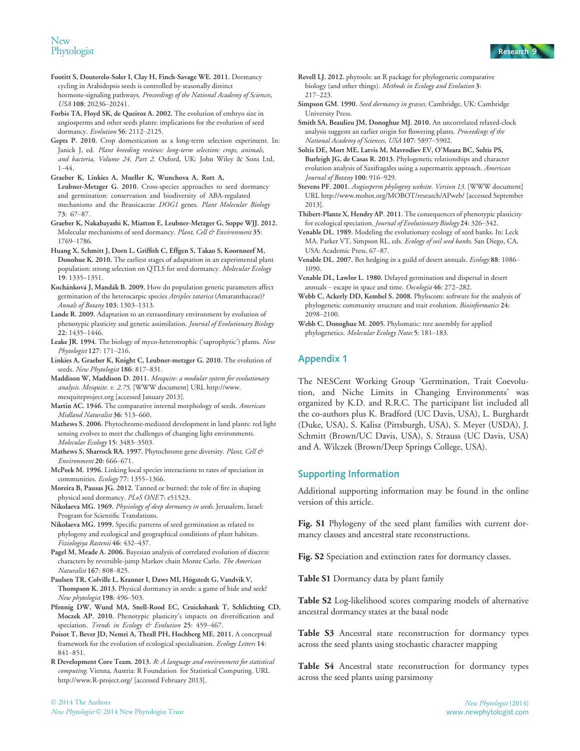

Footitt S, Douterelo-Soler I, Clay H, Finch-Savage WE. 2011. Dormancy cycling in Arabidopsis seeds is controlled by seasonally distinct hormone-signaling pathways. Proceedings of the National Academy of Sciences, USA 108: 20236–20241.

Forbis TA, Floyd SK, de Queiroz A. 2002. The evolution of embryo size in angiosperms and other seeds plants: implications for the evolution of seed dormancy. Evolution 56: 2112–2125.

- Gepts P. 2010. Crop domestication as a long-term selection experiment. In: Janick J, ed. Plant breeding reviews: long-term selection: crops, animals, and bacteria, Volume 24, Part 2. Oxford, UK: John Wiley & Sons Ltd, 1–44.
- Graeber K, Linkies A, Mueller K, Wunchova A, Rott A, Leubner-Metzger G. 2010. Cross-species approaches to seed dormancy and germination: conservation and biodiversity of ABA-regulated mechanisms and the Brassicaceae DOG1 genes. Plant Molecular Biology 73: 67–87.
- Graeber K, Nakabayashi K, Miatton E, Leubner-Metzger G, Soppe WJJ. 2012. Molecular mechanisms of seed dormancy. Plant, Cell & Environment 35: 1769–1786.
- Huang X, Schmitt J, Dorn L, Griffith C, Effgen S, Takao S, Koornneef M, Donohue K. 2010. The earliest stages of adaptation in an experimental plant population: strong selection on QTLS for seed dormancy. Molecular Ecology 19: 1335–1351.
- Kochánková J, Mandák B. 2009. How do population genetic parameters affect germination of the heterocarpic species Atriplex tatarica (Amaranthaceae)? Annals of Botany 103: 1303–1313.
- Lande R. 2009. Adaptation to an extraordinary environment by evolution of phenotypic plasticity and genetic assimilation. Journal of Evolutionary Biology 22: 1435–1446.
- Leake JR. 1994. The biology of myco-heterotrophic ('saprophytic') plants. New Phytologist 127: 171–216.
- Linkies A, Graeber K, Knight C, Leubner-metzger G. 2010. The evolution of seeds. New Phytologist 186: 817-831.
- Maddison W, Maddison D. 2011. Mesquite: a modular system for evolutionary analysis. Mesquite. v. 2.75. [WWW document] URL http://www. mesquiteproject.org [accessed January 2013].
- Martin AC. 1946. The comparative internal morphology of seeds. American Midland Naturalist 36: 513–660.
- Mathews S. 2006. Phytochrome-mediated development in land plants: red light sensing evolves to meet the challenges of changing light environments. Molecular Ecology 15: 3483–3503.
- Mathews S, Sharrock RA. 1997. Phytochrome gene diversity. Plant, Cell & Environment 20: 666–671.
- McPeek M. 1996. Linking local species interactions to rates of speciation in communities. Ecology 77: 1355-1366.
- Moreira B, Pausas JG. 2012. Tanned or burned: the role of fire in shaping physical seed dormancy. PLoS ONE 7: e51523.
- Nikolaeva MG. 1969. Physiology of deep dormancy in seeds. Jerusalem, Israel: Program for Scientific Translations.
- Nikolaeva MG. 1999. Specific patterns of seed germination as related to phylogeny and ecological and geographical conditions of plant habitats. Fiziologiya Rastenii 46: 432–437.
- Pagel M, Meade A. 2006. Bayesian analysis of correlated evolution of discrete characters by reversible-jump Markov chain Monte Carlo. The American Naturalist 167: 808–825.
- Paulsen TR, Colville L, Kranner I, Daws MI, Högstedt G, Vandvik V, Thompson K. 2013. Physical dormancy in seeds: a game of hide and seek? New phytologist 198: 496–503.
- Pfennig DW, Wund MA, Snell-Rood EC, Cruickshank T, Schlichting CD, Moczek AP. 2010. Phenotypic plasticity's impacts on diversification and speciation. Trends in Ecology & Evolution 25: 459-467
- Poisot T, Bever JD, Nemri A, Thrall PH, Hochberg ME. 2011. A conceptual framework for the evolution of ecological specialisation. Ecology Letters 14: 841–851.
- R Development Core Team. 2013. R: A language and environment for statistical computing. Vienna, Austria: R Foundation for Statistical Computing. URL http://www.R-project.org/ [accessed February 2013].
- Revell LJ. 2012. phytools: an R package for phylogenetic comparative biology (and other things). Methods in Ecology and Evolution 3: 217–223.
- Simpson GM. 1990. Seed dormancy in grasses. Cambridge, UK: Cambridge University Press.
- Smith SA, Beaulieu JM, Donoghue MJ. 2010. An uncorrelated relaxed-clock analysis suggests an earlier origin for flowering plants. Proceedings of the National Academy of Sciences, USA 107: 5897–5902.
- Soltis DE, Mort ME, Latvis M, Mavrodiev EV, O'Meara BC, Soltis PS, Burleigh JG, de Casas R. 2013. Phylogenetic relationships and character evolution analysis of Saxifragales using a supermatrix approach. American Journal of Botany 100: 916–929.
- Stevens PF. 2001. Angiosperm phylogeny website. Version 13. [WWW document] URL http://www.mobot.org/MOBOT/research/APweb/ [accessed September 2013].
- Thibert-Plante X, Hendry AP. 2011. The consequences of phenotypic plasticity for ecological speciation. Journal of Evolutionary Biology 24: 326-342.
- Venable DL. 1989. Modeling the evolutionary ecology of seed banks. In: Leck MA, Parker VT, Simpson RL, eds. Ecology of soil seed banks. San Diego, CA, USA: Academic Press, 67–87.
- Venable DL. 2007. Bet hedging in a guild of desert annuals. Ecology 88: 1086– 1090.
- Venable DL, Lawlor L. 1980. Delayed germination and dispersal in desert annuals – escape in space and time. Oecologia 46: 272–282.
- Webb C, Ackerly DD, Kembel S. 2008. Phylocom: software for the analysis of phylogenetic community structure and trait evolution. Bioinformatics 24: 2098–2100.
- Webb C, Donoghue M. 2005. Phylomatic: tree assembly for applied phylogenetics. Molecular Ecology Notes 5: 181–183.

## Appendix 1

The NESCent Working Group 'Germination, Trait Coevolution, and Niche Limits in Changing Environments' was organized by K.D. and R.R.C. The participant list included all the co-authors plus K. Bradford (UC Davis, USA), L. Burghardt (Duke, USA), S. Kalisz (Pittsburgh, USA), S. Meyer (USDA), J. Schmitt (Brown/UC Davis, USA), S. Strauss (UC Davis, USA) and A. Wilczek (Brown/Deep Springs College, USA).

## Supporting Information

Additional supporting information may be found in the online version of this article.

Fig. S1 Phylogeny of the seed plant families with current dormancy classes and ancestral state reconstructions.

Fig. S2 Speciation and extinction rates for dormancy classes.

Table S1 Dormancy data by plant family

Table S2 Log-likelihood scores comparing models of alternative ancestral dormancy states at the basal node

Table S3 Ancestral state reconstruction for dormancy types across the seed plants using stochastic character mapping

Table S4 Ancestral state reconstruction for dormancy types across the seed plants using parsimony